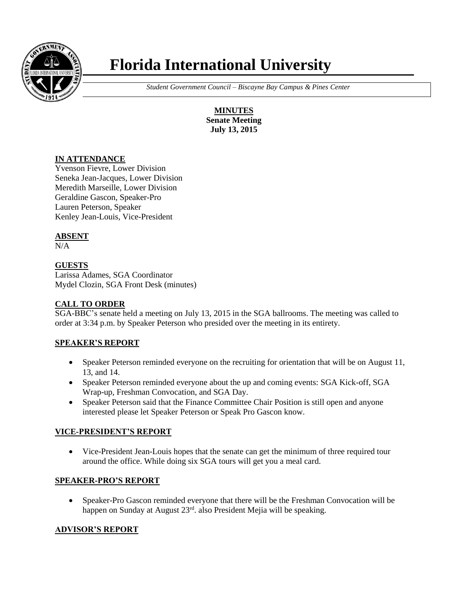

# **Florida International University**

 *Student Government Council – Biscayne Bay Campus & Pines Center*

**MINUTES Senate Meeting July 13, 2015**

## **IN ATTENDANCE**

Yvenson Fievre, Lower Division Seneka Jean-Jacques, Lower Division Meredith Marseille, Lower Division Geraldine Gascon, Speaker-Pro Lauren Peterson, Speaker Kenley Jean-Louis, Vice-President

# **ABSENT**

 $N/A$ 

# **GUESTS**

Larissa Adames, SGA Coordinator Mydel Clozin, SGA Front Desk (minutes)

## **CALL TO ORDER**

SGA-BBC's senate held a meeting on July 13, 2015 in the SGA ballrooms. The meeting was called to order at 3:34 p.m. by Speaker Peterson who presided over the meeting in its entirety.

# **SPEAKER'S REPORT**

- Speaker Peterson reminded everyone on the recruiting for orientation that will be on August 11, 13, and 14.
- Speaker Peterson reminded everyone about the up and coming events: SGA Kick-off, SGA Wrap-up, Freshman Convocation, and SGA Day.
- Speaker Peterson said that the Finance Committee Chair Position is still open and anyone interested please let Speaker Peterson or Speak Pro Gascon know.

## **VICE-PRESIDENT'S REPORT**

 Vice-President Jean-Louis hopes that the senate can get the minimum of three required tour around the office. While doing six SGA tours will get you a meal card.

# **SPEAKER-PRO'S REPORT**

 Speaker-Pro Gascon reminded everyone that there will be the Freshman Convocation will be happen on Sunday at August 23rd. also President Mejia will be speaking.

## **ADVISOR'S REPORT**